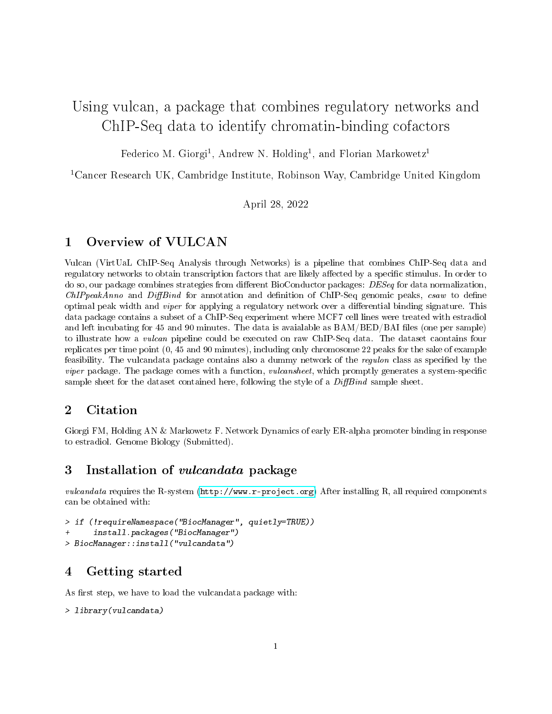# Using vulcan, a package that combines regulatory networks and ChIP-Seq data to identify chromatin-binding cofactors

Federico M. Giorgi<sup>1</sup>, Andrew N. Holding<sup>1</sup>, and Florian Markowetz<sup>1</sup>

<sup>1</sup>Cancer Research UK, Cambridge Institute, Robinson Way, Cambridge United Kingdom

April 28, 2022

## 1 Overview of VULCAN

Vulcan (VirtUaL ChIP-Seq Analysis through Networks) is a pipeline that combines ChIP-Seq data and regulatory networks to obtain transcription factors that are likely affected by a specific stimulus. In order to do so, our package combines strategies from different BioConductor packages:  $DESeq$  for data normalization,  $ChIPpeakAnno$  and  $DiffBind$  for annotation and definition of ChIP-Seq genomic peaks, csaw to define optimal peak width and *viper* for applying a regulatory network over a differential binding signature. This data package contains a subset of a ChIP-Seq experiment where MCF7 cell lines were treated with estradiol and left incubating for 45 and 90 minutes. The data is avaialable as  $BAM/BED/BAI$  files (one per sample) to illustrate how a vulcan pipeline could be executed on raw ChIP-Seq data. The dataset caontains four replicates per time point (0, 45 and 90 minutes), including only chromosome 22 peaks for the sake of example feasibility. The vulcandata package contains also a dummy network of the *regulon* class as specified by the *viper* package. The package comes with a function, *vulcansheet*, which promptly generates a system-specific sample sheet for the dataset contained here, following the style of a  $DiffBind$  sample sheet.

## 2 Citation

Giorgi FM, Holding AN & Markowetz F. Network Dynamics of early ER-alpha promoter binding in response to estradiol. Genome Biology (Submitted).

#### 3 Installation of vulcandata package

vulcandata requires the R-system [\(http://www.r-project.org\)](http://www.r-project.org) After installing R, all required components can be obtained with:

```
> if (!requireNamespace("BiocManager", quietly=TRUE))
      install.packages("BiocManager")
> BiocManager::install("vulcandata")
```
#### 4 Getting started

As first step, we have to load the vulcandata package with:

```
> library(vulcandata)
```